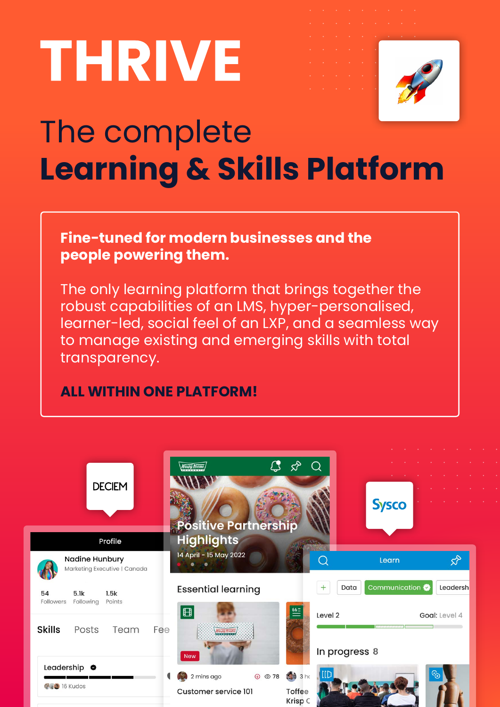# **THRIVE**



### The complete **Learning & Skills Platform**

#### **Fine-tuned for modern businesses and the people powering them.**

The only learning platform that brings together the robust capabilities of an LMS, hyper-personalised, learner-led, social feel of an LXP, and a seamless way to manage existing and emerging skills with total transparency.

#### **ALL WITHIN ONE PLATFORM!**

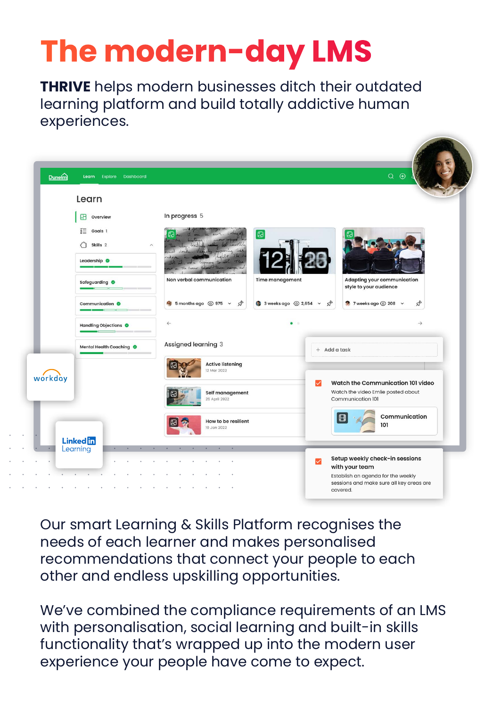### **The modern-day LMS**

**THRIVE** helps modern businesses ditch their outdated learning platform and build totally addictive human experiences.



Our smart Learning & Skills Platform recognises the needs of each learner and makes personalised recommendations that connect your people to each other and endless upskilling opportunities.

We've combined the compliance requirements of an LMS with personalisation, social learning and built-in skills functionality that's wrapped up into the modern user experience your people have come to expect.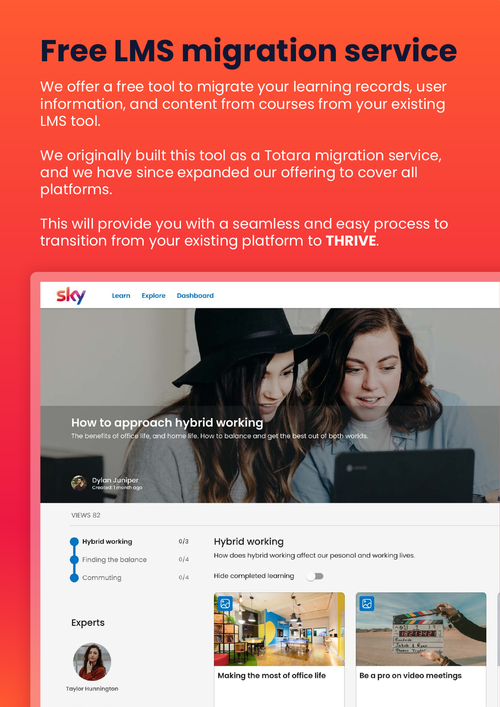# **Free LMS migration service**

We offer a free tool to migrate your learning records, user information, and content from courses from your existing LMS tool.

We originally built this tool as a Totara migration service, and we have since expanded our offering to cover all platforms.

This will provide you with a seamless and easy process to transition from your existing platform to **THRIVE**.

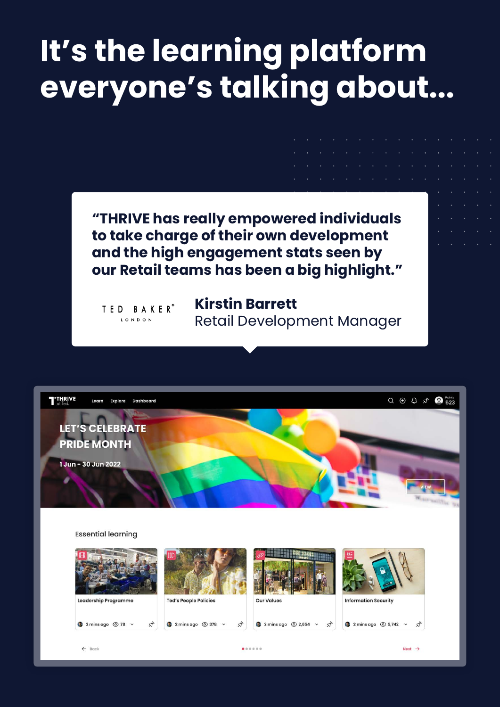#### **It's the learning platform everyone's talking about...**



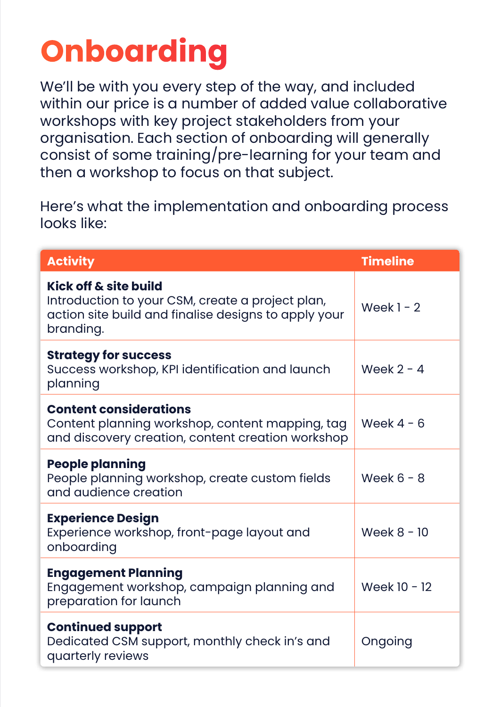# **Onboarding**

We'll be with you every step of the way, and included within our price is a number of added value collaborative workshops with key project stakeholders from your organisation. Each section of onboarding will generally consist of some training/pre-learning for your team and then a workshop to focus on that subject.

Here's what the implementation and onboarding process looks like:

| <b>Activity</b>                                                                                                                                | <b>Timeline</b> |
|------------------------------------------------------------------------------------------------------------------------------------------------|-----------------|
| Kick off & site build<br>Introduction to your CSM, create a project plan,<br>action site build and finalise designs to apply your<br>branding. | Week $1 - 2$    |
| <b>Strategy for success</b><br>Success workshop, KPI identification and launch<br>planning                                                     | Week $2 - 4$    |
| <b>Content considerations</b><br>Content planning workshop, content mapping, tag<br>and discovery creation, content creation workshop          | Week $4 - 6$    |
| <b>People planning</b><br>People planning workshop, create custom fields<br>and audience creation                                              | Week $6 - 8$    |
| <b>Experience Design</b><br>Experience workshop, front-page layout and<br>onboarding                                                           | Week $8 - 10$   |
| <b>Engagement Planning</b><br>Engagement workshop, campaign planning and<br>preparation for launch                                             | Week 10 - 12    |
| <b>Continued support</b><br>Dedicated CSM support, monthly check in's and<br>quarterly reviews                                                 | Ongoing         |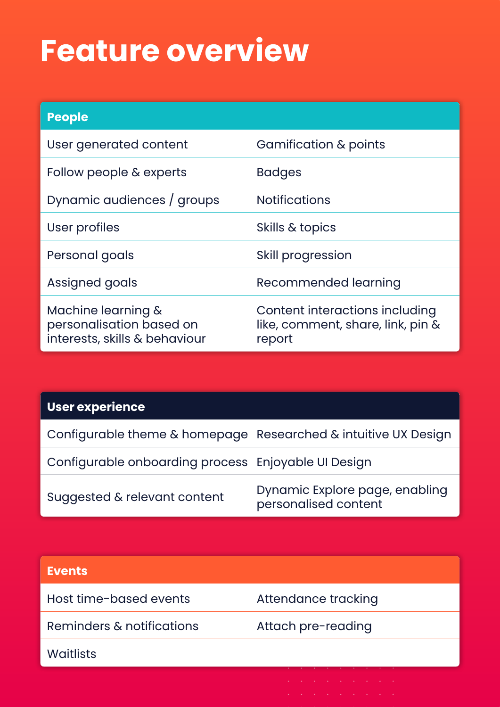#### **Feature overview**

| <b>People</b>                                                                   |                                                                               |
|---------------------------------------------------------------------------------|-------------------------------------------------------------------------------|
| User generated content                                                          | Gamification & points                                                         |
| Follow people & experts                                                         | <b>Badges</b>                                                                 |
| Dynamic audiences / groups                                                      | <b>Notifications</b>                                                          |
| User profiles                                                                   | Skills & topics                                                               |
| Personal goals                                                                  | Skill progression                                                             |
| Assigned goals                                                                  | Recommended learning                                                          |
| Machine learning &<br>personalisation based on<br>interests, skills & behaviour | Content interactions including<br>like, comment, share, link, pin &<br>report |

| <b>User experience</b>                              |                                                        |
|-----------------------------------------------------|--------------------------------------------------------|
| Configurable theme & homepage                       | Researched & intuitive UX Design                       |
| Configurable onboarding process Enjoyable UI Design |                                                        |
| Suggested & relevant content                        | Dynamic Explore page, enabling<br>personalised content |

| <b>Events</b>             |                     |
|---------------------------|---------------------|
| Host time-based events    | Attendance tracking |
| Reminders & notifications | Attach pre-reading  |
| <b>Waitlists</b>          |                     |
|                           |                     |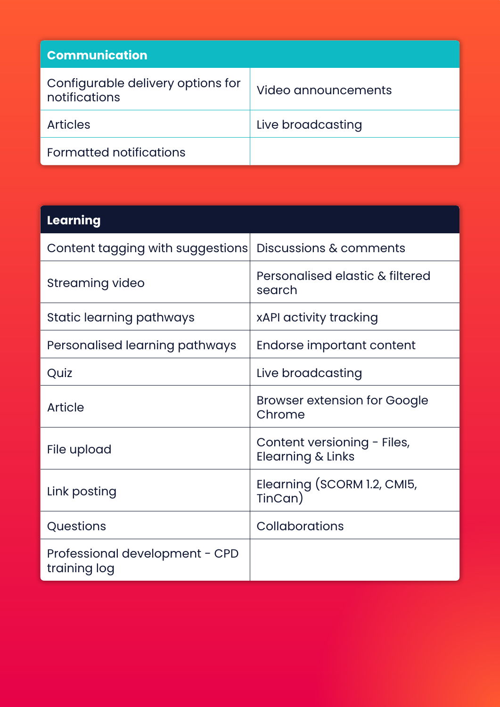| <b>Communication</b>                               |                     |
|----------------------------------------------------|---------------------|
| Configurable delivery options for<br>notifications | Video announcements |
| <b>Articles</b>                                    | Live broadcasting   |
| Formatted notifications                            |                     |

| Learning                                       |                                                  |
|------------------------------------------------|--------------------------------------------------|
| Content tagging with suggestions               | Discussions & comments                           |
| Streaming video                                | Personalised elastic & filtered<br>search        |
| Static learning pathways                       | xAPI activity tracking                           |
| Personalised learning pathways                 | Endorse important content                        |
| Quiz                                           | Live broadcasting                                |
| Article                                        | <b>Browser extension for Google</b><br>Chrome    |
| File upload                                    | Content versioning - Files,<br>Elearning & Links |
| Link posting                                   | Elearning (SCORM 1.2, CMI5,<br>TinCan)           |
| Questions                                      | Collaborations                                   |
| Professional development - CPD<br>training log |                                                  |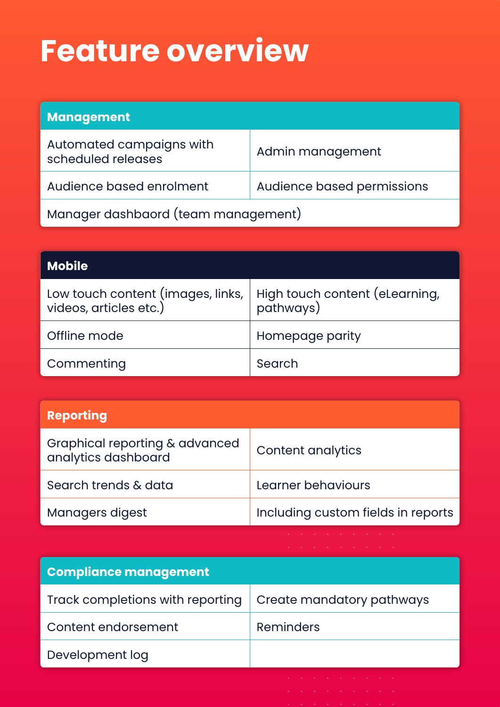#### **Feature overview**

| <b>Management</b>                              |                            |
|------------------------------------------------|----------------------------|
| Automated campaigns with<br>scheduled releases | Admin management           |
| Audience based enrolment                       | Audience based permissions |
| Manager dashbaord (team management)            |                            |

| <b>Mobile</b>                                               |                                             |
|-------------------------------------------------------------|---------------------------------------------|
| Low touch content (images, links,<br>videos, articles etc.) | High touch content (eLearning,<br>pathways) |
| Offline mode                                                | Homepage parity                             |
| Commenting                                                  | Search                                      |

| <b>Reporting</b>                                      |                                                                                                                                                                                                                                |
|-------------------------------------------------------|--------------------------------------------------------------------------------------------------------------------------------------------------------------------------------------------------------------------------------|
| Graphical reporting & advanced<br>analytics dashboard | Content analytics                                                                                                                                                                                                              |
| Search trends & data                                  | Learner behaviours                                                                                                                                                                                                             |
| Managers digest                                       | Including custom fields in reports                                                                                                                                                                                             |
|                                                       | and the company of the company of the company of the company of the company of the company of the company of the company of the company of the company of the company of the company of the company of the company of the comp |

| <b>Compliance management</b>     |                           |
|----------------------------------|---------------------------|
| Track completions with reporting | Create mandatory pathways |
| Content endorsement              | Reminders                 |
| Development log                  |                           |
|                                  |                           |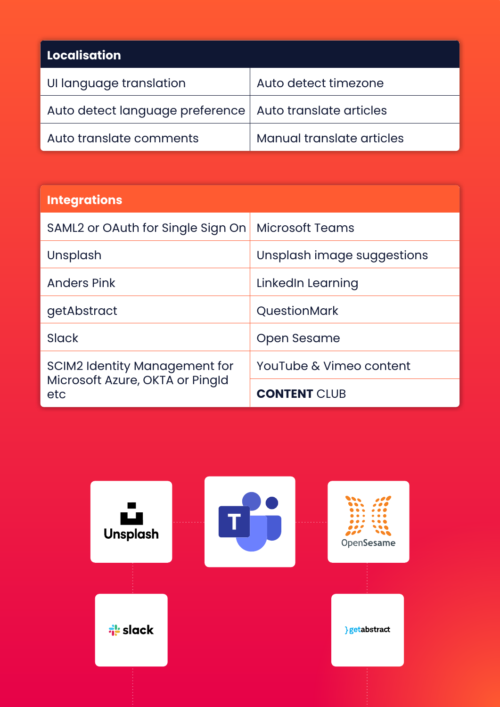| <b>Localisation</b>             |                           |
|---------------------------------|---------------------------|
| UI language translation         | Auto detect timezone      |
| Auto detect language preference | Auto translate articles   |
| Auto translate comments         | Manual translate articles |

| <b>Integrations</b>                                                     |                            |
|-------------------------------------------------------------------------|----------------------------|
| SAML2 or OAuth for Single Sign On                                       | <b>Microsoft Teams</b>     |
| Unsplash                                                                | Unsplash image suggestions |
| Anders Pink                                                             | LinkedIn Learning          |
| getAbstract                                                             | QuestionMark               |
| Slack                                                                   | Open Sesame                |
| SCIM2 Identity Management for<br>Microsoft Azure, OKTA or Pingld<br>etc | YouTube & Vimeo content    |
|                                                                         | <b>CONTENT CIUB</b>        |